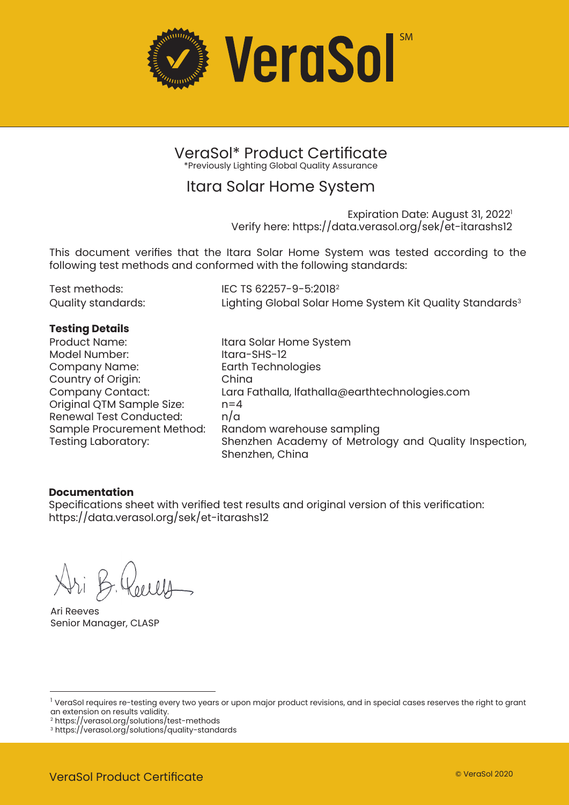

VeraSol\* Product Certificate \*Previously Lighting Global Quality Assurance

### Itara Solar Home System

Expiration Date: August 31, 2022<sup>1</sup> Verify here: https://data.verasol.org/sek/et-itarashs12

This document verifies that the Itara Solar Home System was tested according to the following test methods and conformed with the following standards:

| Test methods:      | IEC TS 62257-9-5:2018 <sup>2</sup>                                   |
|--------------------|----------------------------------------------------------------------|
| Quality standards: | Lighting Global Solar Home System Kit Quality Standards <sup>3</sup> |

# **Testing Details**

Model Number: Company Name: Earth Technologies Country of Origin:<br>Company Contact: Original QTM Sample Size: n=4 Renewal Test Conducted: Sample Procurement Method: Random warehouse sampling

Itara Solar Home System<br>Itara-SHS-12 Lara Fathalla, lfathalla@earthtechnologies.com<br>n=4 Shenzhen Academy of Metrology and Quality Inspection, Shenzhen, China

#### **Documentation**

Specifications sheet with verified test results and original version of this verification: https://data.verasol.org/sek/et-itarashs12

Ari Reeves Senior Manager, CLASP

<sup>&</sup>lt;sup>1</sup> VeraSol requires re-testing every two years or upon major product revisions, and in special cases reserves the right to grant an extension on results validity.

<sup>2</sup> https://verasol.org/solutions/test-methods

<sup>3</sup> https://verasol.org/solutions/quality-standards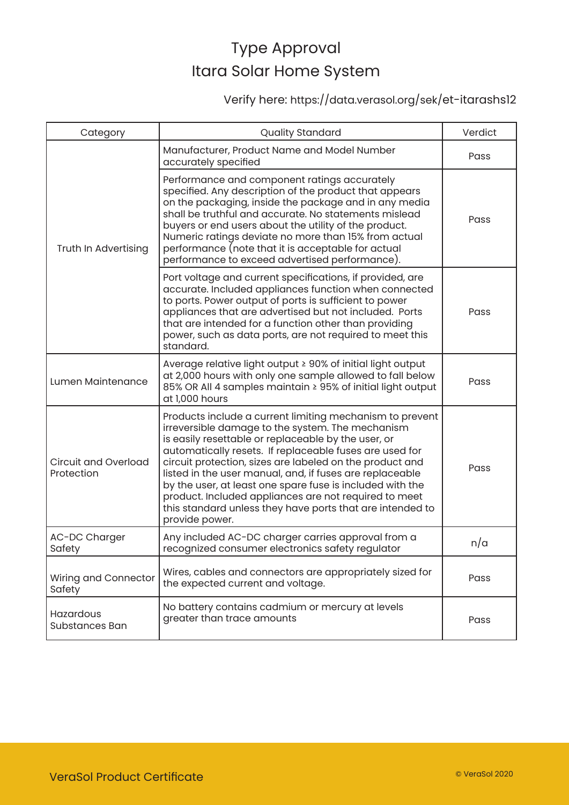### Verify here: https://data.verasol.org/sek/et-itarashs12

| Category                                  | <b>Quality Standard</b>                                                                                                                                                                                                                                                                                                                                                                                                                                                                                                                                     | Verdict |
|-------------------------------------------|-------------------------------------------------------------------------------------------------------------------------------------------------------------------------------------------------------------------------------------------------------------------------------------------------------------------------------------------------------------------------------------------------------------------------------------------------------------------------------------------------------------------------------------------------------------|---------|
| Truth In Advertising                      | Manufacturer, Product Name and Model Number<br>accurately specified                                                                                                                                                                                                                                                                                                                                                                                                                                                                                         | Pass    |
|                                           | Performance and component ratings accurately<br>specified. Any description of the product that appears<br>on the packaging, inside the package and in any media<br>shall be truthful and accurate. No statements mislead<br>buyers or end users about the utility of the product.<br>Numeric ratings deviate no more than 15% from actual<br>performance (note that it is acceptable for actual<br>performance to exceed advertised performance).                                                                                                           | Pass    |
|                                           | Port voltage and current specifications, if provided, are<br>accurate. Included appliances function when connected<br>to ports. Power output of ports is sufficient to power<br>appliances that are advertised but not included. Ports<br>that are intended for a function other than providing<br>power, such as data ports, are not required to meet this<br>standard.                                                                                                                                                                                    | Pass    |
| Lumen Maintenance                         | Average relative light output ≥ 90% of initial light output<br>at 2,000 hours with only one sample allowed to fall below<br>85% OR All 4 samples maintain ≥ 95% of initial light output<br>at 1,000 hours                                                                                                                                                                                                                                                                                                                                                   | Pass    |
| <b>Circuit and Overload</b><br>Protection | Products include a current limiting mechanism to prevent<br>irreversible damage to the system. The mechanism<br>is easily resettable or replaceable by the user, or<br>automatically resets. If replaceable fuses are used for<br>circuit protection, sizes are labeled on the product and<br>listed in the user manual, and, if fuses are replaceable<br>by the user, at least one spare fuse is included with the<br>product. Included appliances are not required to meet<br>this standard unless they have ports that are intended to<br>provide power. | Pass    |
| AC-DC Charger<br>Safety                   | Any included AC-DC charger carries approval from a<br>recognized consumer electronics safety regulator                                                                                                                                                                                                                                                                                                                                                                                                                                                      | n/a     |
| Wiring and Connector<br>Safety            | Wires, cables and connectors are appropriately sized for<br>the expected current and voltage.                                                                                                                                                                                                                                                                                                                                                                                                                                                               | Pass    |
| Hazardous<br>Substances Ban               | No battery contains cadmium or mercury at levels<br>greater than trace amounts                                                                                                                                                                                                                                                                                                                                                                                                                                                                              | Pass    |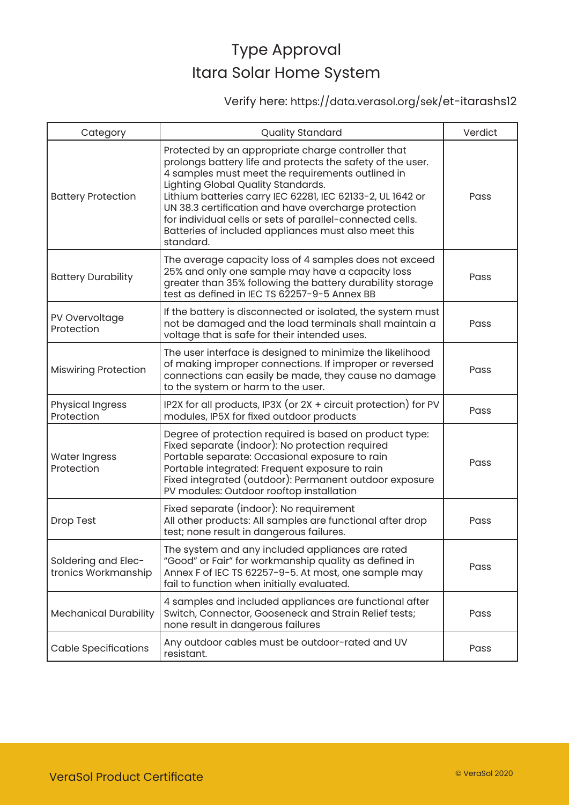### Verify here: https://data.verasol.org/sek/et-itarashs12

| Category                                   | <b>Quality Standard</b>                                                                                                                                                                                                                                                                                                                                                                                                                                            | Verdict |
|--------------------------------------------|--------------------------------------------------------------------------------------------------------------------------------------------------------------------------------------------------------------------------------------------------------------------------------------------------------------------------------------------------------------------------------------------------------------------------------------------------------------------|---------|
| <b>Battery Protection</b>                  | Protected by an appropriate charge controller that<br>prolongs battery life and protects the safety of the user.<br>4 samples must meet the requirements outlined in<br>Lighting Global Quality Standards.<br>Lithium batteries carry IEC 62281, IEC 62133-2, UL 1642 or<br>UN 38.3 certification and have overcharge protection<br>for individual cells or sets of parallel-connected cells.<br>Batteries of included appliances must also meet this<br>standard. | Pass    |
| <b>Battery Durability</b>                  | The average capacity loss of 4 samples does not exceed<br>25% and only one sample may have a capacity loss<br>greater than 35% following the battery durability storage<br>test as defined in IEC TS 62257-9-5 Annex BB                                                                                                                                                                                                                                            | Pass    |
| PV Overvoltage<br>Protection               | If the battery is disconnected or isolated, the system must<br>not be damaged and the load terminals shall maintain a<br>voltage that is safe for their intended uses.                                                                                                                                                                                                                                                                                             | Pass    |
| <b>Miswiring Protection</b>                | The user interface is designed to minimize the likelihood<br>of making improper connections. If improper or reversed<br>connections can easily be made, they cause no damage<br>to the system or harm to the user.                                                                                                                                                                                                                                                 | Pass    |
| <b>Physical Ingress</b><br>Protection      | IP2X for all products, IP3X (or 2X + circuit protection) for PV<br>modules, IP5X for fixed outdoor products                                                                                                                                                                                                                                                                                                                                                        | Pass    |
| <b>Water Ingress</b><br>Protection         | Degree of protection required is based on product type:<br>Fixed separate (indoor): No protection required<br>Portable separate: Occasional exposure to rain<br>Portable integrated: Frequent exposure to rain<br>Fixed integrated (outdoor): Permanent outdoor exposure<br>PV modules: Outdoor rooftop installation                                                                                                                                               | Pass    |
| Drop Test                                  | Fixed separate (indoor): No requirement<br>All other products: All samples are functional after drop<br>test; none result in dangerous failures.                                                                                                                                                                                                                                                                                                                   | Pass    |
| Soldering and Elec-<br>tronics Workmanship | The system and any included appliances are rated<br>"Good" or Fair" for workmanship quality as defined in<br>Annex F of IEC TS 62257-9-5. At most, one sample may<br>fail to function when initially evaluated.                                                                                                                                                                                                                                                    | Pass    |
| <b>Mechanical Durability</b>               | 4 samples and included appliances are functional after<br>Switch, Connector, Gooseneck and Strain Relief tests;<br>none result in dangerous failures                                                                                                                                                                                                                                                                                                               | Pass    |
| <b>Cable Specifications</b>                | Any outdoor cables must be outdoor-rated and UV<br>resistant.                                                                                                                                                                                                                                                                                                                                                                                                      | Pass    |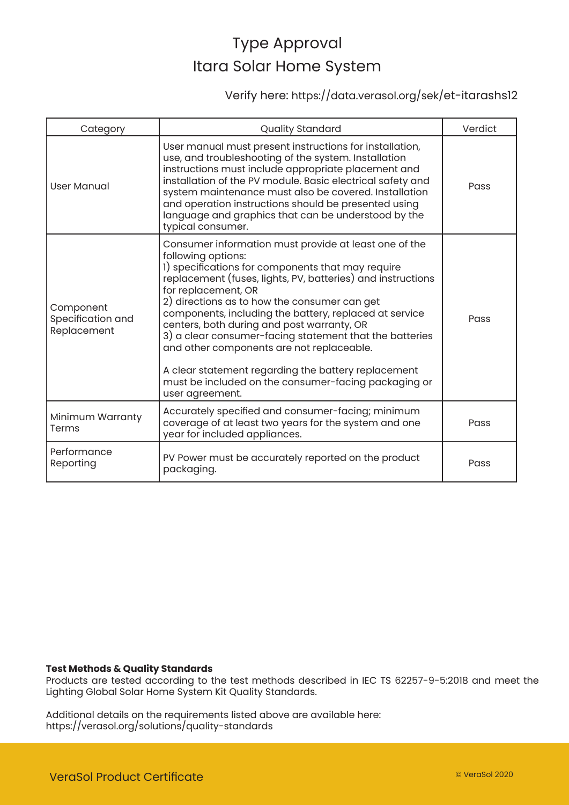### Verify here: https://data.verasol.org/sek/et-itarashs12

| Category                                      | <b>Quality Standard</b>                                                                                                                                                                                                                                                                                                                                                                                                                                                                                                                                                                                                  | Verdict |
|-----------------------------------------------|--------------------------------------------------------------------------------------------------------------------------------------------------------------------------------------------------------------------------------------------------------------------------------------------------------------------------------------------------------------------------------------------------------------------------------------------------------------------------------------------------------------------------------------------------------------------------------------------------------------------------|---------|
| <b>User Manual</b>                            | User manual must present instructions for installation,<br>use, and troubleshooting of the system. Installation<br>instructions must include appropriate placement and<br>installation of the PV module. Basic electrical safety and<br>system maintenance must also be covered. Installation<br>and operation instructions should be presented using<br>language and graphics that can be understood by the<br>typical consumer.                                                                                                                                                                                        | Pass    |
| Component<br>Specification and<br>Replacement | Consumer information must provide at least one of the<br>following options:<br>1) specifications for components that may require<br>replacement (fuses, lights, PV, batteries) and instructions<br>for replacement, OR<br>2) directions as to how the consumer can get<br>components, including the battery, replaced at service<br>centers, both during and post warranty, OR<br>3) a clear consumer-facing statement that the batteries<br>and other components are not replaceable.<br>A clear statement regarding the battery replacement<br>must be included on the consumer-facing packaging or<br>user agreement. | Pass    |
| Minimum Warranty<br>Terms                     | Accurately specified and consumer-facing; minimum<br>coverage of at least two years for the system and one<br>year for included appliances.                                                                                                                                                                                                                                                                                                                                                                                                                                                                              | Pass    |
| Performance<br>Reporting                      | PV Power must be accurately reported on the product<br>packaging.                                                                                                                                                                                                                                                                                                                                                                                                                                                                                                                                                        | Pass    |

#### **Test Methods & Quality Standards**

Products are tested according to the test methods described in IEC TS 62257-9-5:2018 and meet the Lighting Global Solar Home System Kit Quality Standards.

Additional details on the requirements listed above are available here: https://verasol.org/solutions/quality-standards